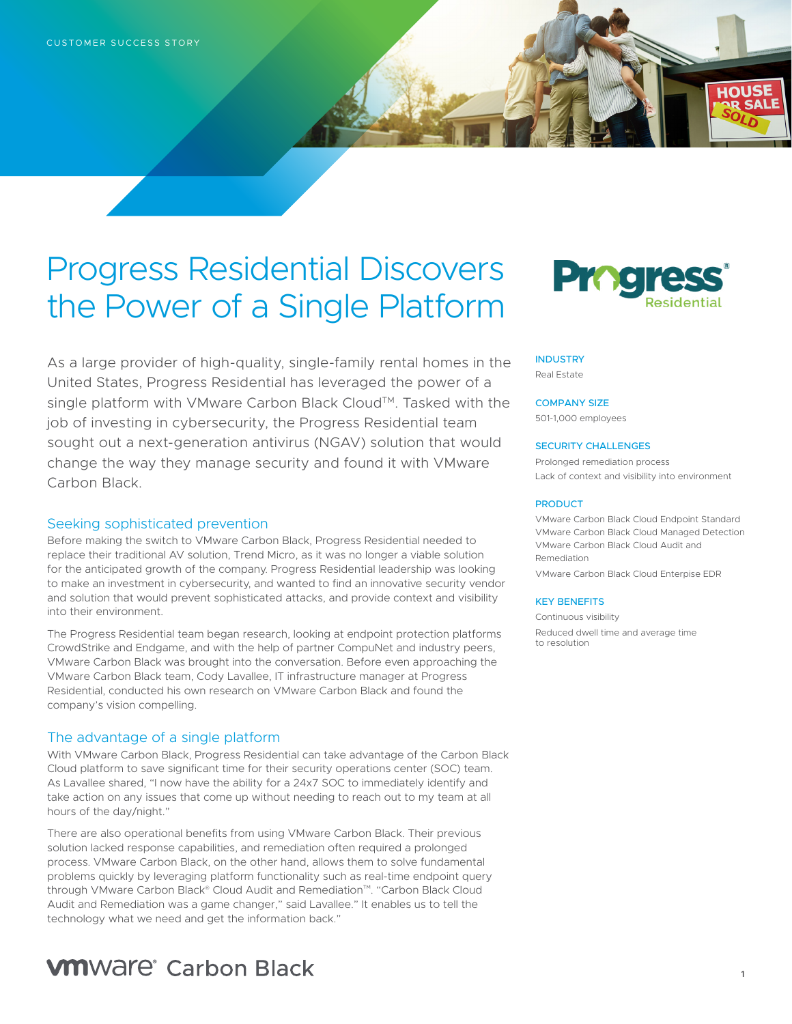# Progress Residential Discovers the Power of a Single Platform

As a large provider of high-quality, single-family rental homes in the United States, Progress Residential has leveraged the power of a single platform with VMware Carbon Black Cloud™. Tasked with the job of investing in cybersecurity, the Progress Residential team sought out a next-generation antivirus (NGAV) solution that would change the way they manage security and found it with VMware Carbon Black.

#### Seeking sophisticated prevention

Before making the switch to VMware Carbon Black, Progress Residential needed to replace their traditional AV solution, Trend Micro, as it was no longer a viable solution for the anticipated growth of the company. Progress Residential leadership was looking to make an investment in cybersecurity, and wanted to find an innovative security vendor and solution that would prevent sophisticated attacks, and provide context and visibility into their environment.

The Progress Residential team began research, looking at endpoint protection platforms CrowdStrike and Endgame, and with the help of partner CompuNet and industry peers, VMware Carbon Black was brought into the conversation. Before even approaching the VMware Carbon Black team, Cody Lavallee, IT infrastructure manager at Progress Residential, conducted his own research on VMware Carbon Black and found the company's vision compelling.

#### The advantage of a single platform

With VMware Carbon Black, Progress Residential can take advantage of the Carbon Black Cloud platform to save significant time for their security operations center (SOC) team. As Lavallee shared, "I now have the ability for a 24x7 SOC to immediately identify and take action on any issues that come up without needing to reach out to my team at all hours of the day/night."

There are also operational benefits from using VMware Carbon Black. Their previous solution lacked response capabilities, and remediation often required a prolonged process. VMware Carbon Black, on the other hand, allows them to solve fundamental problems quickly by leveraging platform functionality such as real-time endpoint query through VMware Carbon Black® Cloud Audit and Remediation™. "Carbon Black Cloud Audit and Remediation was a game changer," said Lavallee." It enables us to tell the technology what we need and get the information back."

## **VM**Ware<sup>®</sup> Carbon Black



**HOUSE** 

### **INDUSTRY**

Real Estate

#### COMPANY SIZE

501-1,000 employees

#### SECURITY CHALLENGES

Prolonged remediation process Lack of context and visibility into environment

#### PRODUCT

VMware Carbon Black Cloud Endpoint Standard VMware Carbon Black Cloud Managed Detection VMware Carbon Black Cloud Audit and Remediation

VMware Carbon Black Cloud Enterpise EDR

#### KEY BENEFITS

Continuous visibility Reduced dwell time and average time to resolution